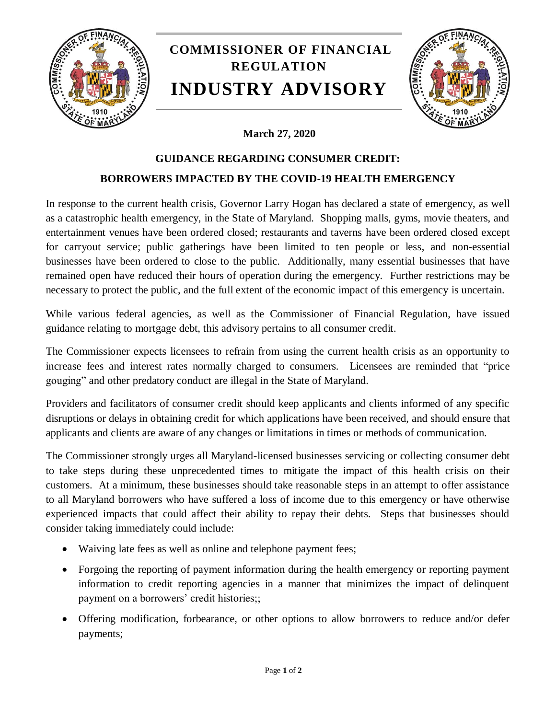

## **COMMISSIONER OF FINANCIAL REGULATION INDUSTRY ADVISORY**



## **March 27, 2020**

## **GUIDANCE REGARDING CONSUMER CREDIT:**

## **BORROWERS IMPACTED BY THE COVID-19 HEALTH EMERGENCY**

In response to the current health crisis, Governor Larry Hogan has declared a state of emergency, as well as a catastrophic health emergency, in the State of Maryland. Shopping malls, gyms, movie theaters, and entertainment venues have been ordered closed; restaurants and taverns have been ordered closed except for carryout service; public gatherings have been limited to ten people or less, and non-essential businesses have been ordered to close to the public. Additionally, many essential businesses that have remained open have reduced their hours of operation during the emergency. Further restrictions may be necessary to protect the public, and the full extent of the economic impact of this emergency is uncertain.

While various federal agencies, as well as the Commissioner of Financial Regulation, have issued guidance relating to mortgage debt, this advisory pertains to all consumer credit.

The Commissioner expects licensees to refrain from using the current health crisis as an opportunity to increase fees and interest rates normally charged to consumers. Licensees are reminded that "price gouging" and other predatory conduct are illegal in the State of Maryland.

Providers and facilitators of consumer credit should keep applicants and clients informed of any specific disruptions or delays in obtaining credit for which applications have been received, and should ensure that applicants and clients are aware of any changes or limitations in times or methods of communication.

The Commissioner strongly urges all Maryland-licensed businesses servicing or collecting consumer debt to take steps during these unprecedented times to mitigate the impact of this health crisis on their customers. At a minimum, these businesses should take reasonable steps in an attempt to offer assistance to all Maryland borrowers who have suffered a loss of income due to this emergency or have otherwise experienced impacts that could affect their ability to repay their debts. Steps that businesses should consider taking immediately could include:

- Waiving late fees as well as online and telephone payment fees;
- Forgoing the reporting of payment information during the health emergency or reporting payment information to credit reporting agencies in a manner that minimizes the impact of delinquent payment on a borrowers' credit histories;;
- Offering modification, forbearance, or other options to allow borrowers to reduce and/or defer payments;